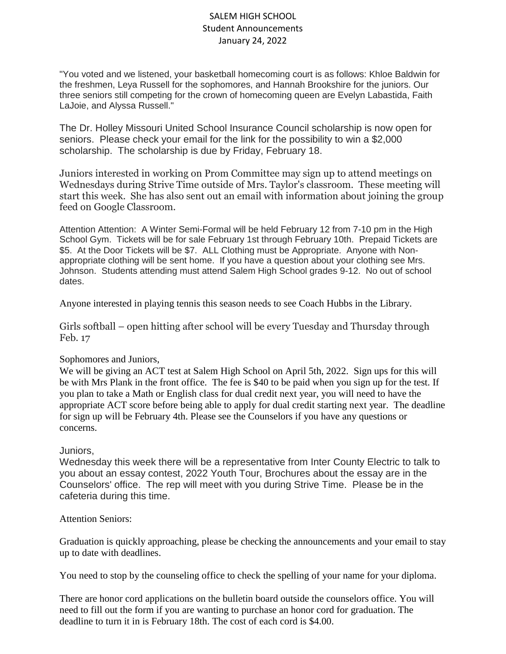## SALEM HIGH SCHOOL Student Announcements January 24, 2022

"You voted and we listened, your basketball homecoming court is as follows: Khloe Baldwin for the freshmen, Leya Russell for the sophomores, and Hannah Brookshire for the juniors. Our three seniors still competing for the crown of homecoming queen are Evelyn Labastida, Faith LaJoie, and Alyssa Russell."

The Dr. Holley Missouri United School Insurance Council scholarship is now open for seniors. Please check your email for the link for the possibility to win a \$2,000 scholarship. The scholarship is due by Friday, February 18.

Juniors interested in working on Prom Committee may sign up to attend meetings on Wednesdays during Strive Time outside of Mrs. Taylor's classroom. These meeting will start this week. She has also sent out an email with information about joining the group feed on Google Classroom.

Attention Attention: A Winter Semi-Formal will be held February 12 from 7-10 pm in the High School Gym. Tickets will be for sale February 1st through February 10th. Prepaid Tickets are \$5. At the Door Tickets will be \$7. ALL Clothing must be Appropriate. Anyone with Nonappropriate clothing will be sent home. If you have a question about your clothing see Mrs. Johnson. Students attending must attend Salem High School grades 9-12. No out of school dates.

Anyone interested in playing tennis this season needs to see Coach Hubbs in the Library.

Girls softball – open hitting after school will be every Tuesday and Thursday through Feb. 17

## Sophomores and Juniors,

We will be giving an ACT test at Salem High School on April 5th, 2022. Sign ups for this will be with Mrs Plank in the front office. The fee is \$40 to be paid when you sign up for the test. If you plan to take a Math or English class for dual credit next year, you will need to have the appropriate ACT score before being able to apply for dual credit starting next year. The deadline for sign up will be February 4th. Please see the Counselors if you have any questions or concerns.

## Juniors,

Wednesday this week there will be a representative from Inter County Electric to talk to you about an essay contest, 2022 Youth Tour, Brochures about the essay are in the Counselors' office. The rep will meet with you during Strive Time. Please be in the cafeteria during this time.

## Attention Seniors:

Graduation is quickly approaching, please be checking the announcements and your email to stay up to date with deadlines.

You need to stop by the counseling office to check the spelling of your name for your diploma.

There are honor cord applications on the bulletin board outside the counselors office. You will need to fill out the form if you are wanting to purchase an honor cord for graduation. The deadline to turn it in is February 18th. The cost of each cord is \$4.00.